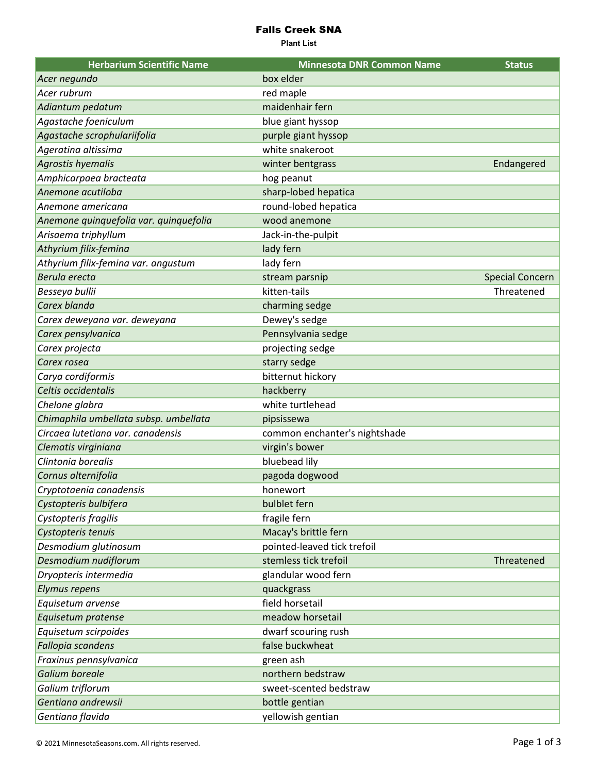## Falls Creek SNA

**Plant List**

| <b>Herbarium Scientific Name</b>       | <b>Minnesota DNR Common Name</b> | <b>Status</b>          |
|----------------------------------------|----------------------------------|------------------------|
| Acer negundo                           | box elder                        |                        |
| Acer rubrum                            | red maple                        |                        |
| Adiantum pedatum                       | maidenhair fern                  |                        |
| Agastache foeniculum                   | blue giant hyssop                |                        |
| Agastache scrophulariifolia            | purple giant hyssop              |                        |
| Ageratina altissima                    | white snakeroot                  |                        |
| Agrostis hyemalis                      | winter bentgrass                 | Endangered             |
| Amphicarpaea bracteata                 | hog peanut                       |                        |
| Anemone acutiloba                      | sharp-lobed hepatica             |                        |
| Anemone americana                      | round-lobed hepatica             |                        |
| Anemone quinquefolia var. quinquefolia | wood anemone                     |                        |
| Arisaema triphyllum                    | Jack-in-the-pulpit               |                        |
| Athyrium filix-femina                  | lady fern                        |                        |
| Athyrium filix-femina var. angustum    | lady fern                        |                        |
| Berula erecta                          | stream parsnip                   | <b>Special Concern</b> |
| Besseya bullii                         | kitten-tails                     | Threatened             |
| Carex blanda                           | charming sedge                   |                        |
| Carex deweyana var. deweyana           | Dewey's sedge                    |                        |
| Carex pensylvanica                     | Pennsylvania sedge               |                        |
| Carex projecta                         | projecting sedge                 |                        |
| Carex rosea                            | starry sedge                     |                        |
| Carya cordiformis                      | bitternut hickory                |                        |
| Celtis occidentalis                    | hackberry                        |                        |
| Chelone glabra                         | white turtlehead                 |                        |
| Chimaphila umbellata subsp. umbellata  | pipsissewa                       |                        |
| Circaea lutetiana var. canadensis      | common enchanter's nightshade    |                        |
| Clematis virginiana                    | virgin's bower                   |                        |
| Clintonia borealis                     | bluebead lily                    |                        |
| Cornus alternifolia                    | pagoda dogwood                   |                        |
| Cryptotaenia canadensis                | honewort                         |                        |
| Cystopteris bulbifera                  | bulblet fern                     |                        |
| Cystopteris fragilis                   | fragile fern                     |                        |
| Cystopteris tenuis                     | Macay's brittle fern             |                        |
| Desmodium glutinosum                   | pointed-leaved tick trefoil      |                        |
| Desmodium nudiflorum                   | stemless tick trefoil            | Threatened             |
| Dryopteris intermedia                  | glandular wood fern              |                        |
| <b>Elymus repens</b>                   | quackgrass                       |                        |
| Equisetum arvense                      | field horsetail                  |                        |
| Equisetum pratense                     | meadow horsetail                 |                        |
| Equisetum scirpoides                   | dwarf scouring rush              |                        |
| Fallopia scandens                      | false buckwheat                  |                        |
| Fraxinus pennsylvanica                 | green ash                        |                        |
| Galium boreale                         | northern bedstraw                |                        |
| Galium triflorum                       | sweet-scented bedstraw           |                        |
| Gentiana andrewsii                     | bottle gentian                   |                        |
| Gentiana flavida                       | yellowish gentian                |                        |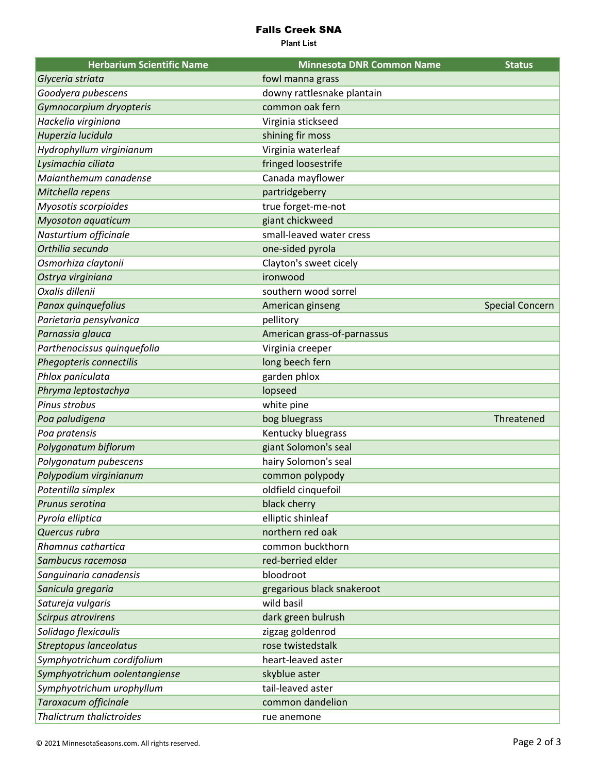## Falls Creek SNA

**Plant List**

| <b>Herbarium Scientific Name</b> | <b>Minnesota DNR Common Name</b> | <b>Status</b>          |
|----------------------------------|----------------------------------|------------------------|
| Glyceria striata                 | fowl manna grass                 |                        |
| Goodyera pubescens               | downy rattlesnake plantain       |                        |
| Gymnocarpium dryopteris          | common oak fern                  |                        |
| Hackelia virginiana              | Virginia stickseed               |                        |
| Huperzia lucidula                | shining fir moss                 |                        |
| Hydrophyllum virginianum         | Virginia waterleaf               |                        |
| Lysimachia ciliata               | fringed loosestrife              |                        |
| Maianthemum canadense            | Canada mayflower                 |                        |
| Mitchella repens                 | partridgeberry                   |                        |
| Myosotis scorpioides             | true forget-me-not               |                        |
| <b>Myosoton aquaticum</b>        | giant chickweed                  |                        |
| Nasturtium officinale            | small-leaved water cress         |                        |
| Orthilia secunda                 | one-sided pyrola                 |                        |
| Osmorhiza claytonii              | Clayton's sweet cicely           |                        |
| Ostrya virginiana                | ironwood                         |                        |
| Oxalis dillenii                  | southern wood sorrel             |                        |
| Panax quinquefolius              | American ginseng                 | <b>Special Concern</b> |
| Parietaria pensylvanica          | pellitory                        |                        |
| Parnassia glauca                 | American grass-of-parnassus      |                        |
| Parthenocissus quinquefolia      | Virginia creeper                 |                        |
| Phegopteris connectilis          | long beech fern                  |                        |
| Phlox paniculata                 | garden phlox                     |                        |
| Phryma leptostachya              | lopseed                          |                        |
| Pinus strobus                    | white pine                       |                        |
| Poa paludigena                   | bog bluegrass                    | Threatened             |
| Poa pratensis                    | Kentucky bluegrass               |                        |
| Polygonatum biflorum             | giant Solomon's seal             |                        |
| Polygonatum pubescens            | hairy Solomon's seal             |                        |
| Polypodium virginianum           | common polypody                  |                        |
| Potentilla simplex               | oldfield cinquefoil              |                        |
| Prunus serotina                  | black cherry                     |                        |
| Pyrola elliptica                 | elliptic shinleaf                |                        |
| Quercus rubra                    | northern red oak                 |                        |
| Rhamnus cathartica               | common buckthorn                 |                        |
| Sambucus racemosa                | red-berried elder                |                        |
| Sanguinaria canadensis           | bloodroot                        |                        |
| Sanicula gregaria                | gregarious black snakeroot       |                        |
| Satureja vulgaris                | wild basil                       |                        |
| Scirpus atrovirens               | dark green bulrush               |                        |
| Solidago flexicaulis             | zigzag goldenrod                 |                        |
| <b>Streptopus lanceolatus</b>    | rose twistedstalk                |                        |
| Symphyotrichum cordifolium       | heart-leaved aster               |                        |
| Symphyotrichum oolentangiense    | skyblue aster                    |                        |
| Symphyotrichum urophyllum        | tail-leaved aster                |                        |
| Taraxacum officinale             | common dandelion                 |                        |
| Thalictrum thalictroides         | rue anemone                      |                        |